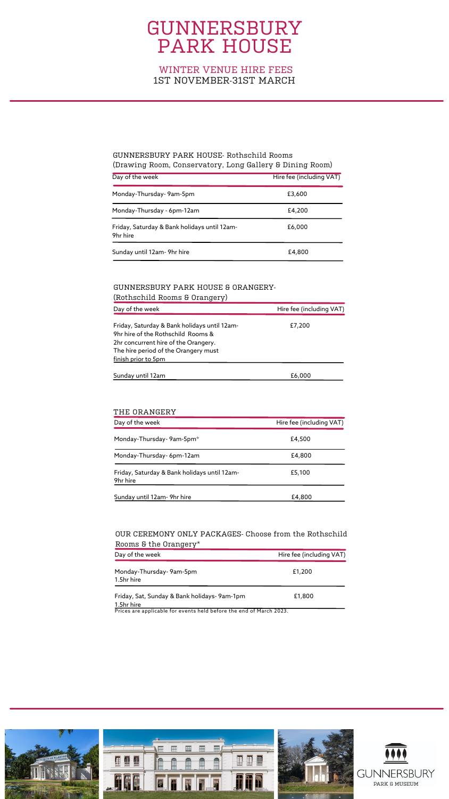| Day of the week                                          | Hire fee (including VAT) |
|----------------------------------------------------------|--------------------------|
| Monday-Thursday- 9am-5pm                                 | £3,600                   |
| Monday-Thursday - 6pm-12am                               | £4,200                   |
| Friday, Saturday & Bank holidays until 12am-<br>9hr hire | £6,000                   |
| Sunday until 12am- 9hr hire                              | £4,800                   |

| Day of the week                                                                                                                                                                           | Hire fee (including VAT) |
|-------------------------------------------------------------------------------------------------------------------------------------------------------------------------------------------|--------------------------|
| Friday, Saturday & Bank holidays until 12am-<br>9hr hire of the Rothschild Rooms &<br>2hr concurrent hire of the Orangery.<br>The hire period of the Orangery must<br>finish prior to 5pm | £7,200                   |
| Sunday until 12am                                                                                                                                                                         | £6,000                   |

### GUNNERSBURY PARK HOUSE- Rothschild Rooms (Drawing Room, Conservatory, Long Gallery & Dining Room)

#### GUNNERSBURY PARK HOUSE & ORANGERY- (Rothschild Rooms & Orangery)

| Day of the week                                          | Hire fee (including VAT) |
|----------------------------------------------------------|--------------------------|
| Monday-Thursday- 9am-5pm*                                | £4,500                   |
| Monday-Thursday- 6pm-12am                                | £4,800                   |
| Friday, Saturday & Bank holidays until 12am-<br>9hr hire | £5,100                   |
| Sunday until 12am- 9hr hire                              | £4,800                   |

#### THE ORANGERY

| Day of the week                                                     | Hire fee (including VAT) |
|---------------------------------------------------------------------|--------------------------|
| Monday-Thursday-9am-5pm<br>1.5hr hire                               | £1,200                   |
| Friday, Sat, Sunday & Bank holidays-9am-1pm<br>1.5hr hire           | £1,800                   |
| Prices are applicable for events held before the end of March 2023. |                          |



### OUR CEREMONY ONLY PACKAGES- Choose from the Rothschild Rooms & the Orangery\*

## GUNNERSBURY PARK HOUSE

## WINTER VENUE HIRE FEES 1ST NOVEMBER-31ST MARCH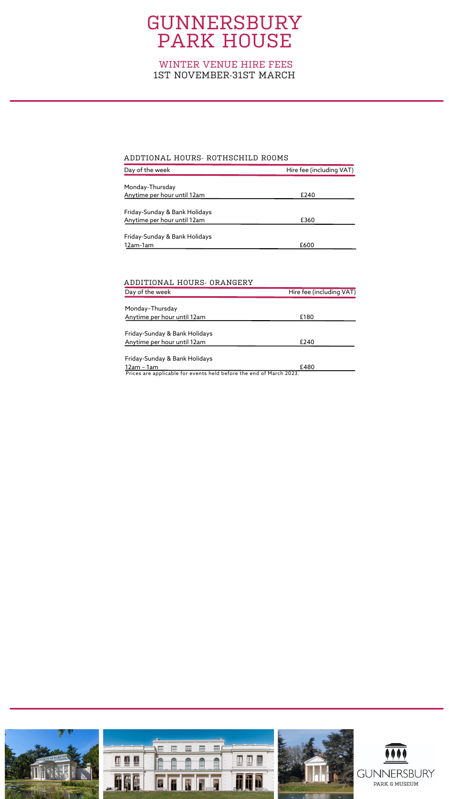| Day of the week               | Hire fee (including VAT) |
|-------------------------------|--------------------------|
|                               |                          |
| Monday-Thursday               |                          |
| Anytime per hour until 12am   | £240                     |
|                               |                          |
| Friday-Sunday & Bank Holidays |                          |
| Anytime per hour until 12am   | £360                     |
|                               |                          |
| Friday-Sunday & Bank Holidays |                          |
| 12am-1am                      | £600                     |

#### ADDTIONAL HOURS- ROTHSCHILD ROOMS

| Day of the week               | Hire fee (including VAT) |
|-------------------------------|--------------------------|
|                               |                          |
| Monday-Thursday               |                          |
| Anytime per hour until 12am   | £180                     |
|                               |                          |
| Friday-Sunday & Bank Holidays |                          |
| Anytime per hour until 12am   | £240                     |
|                               |                          |
| Friday-Sunday & Bank Holidays |                          |
| 12am - 1am                    | £480                     |
|                               |                          |

Prices are applicable for events held before the end of March 2023.



#### ADDITIONAL HOURS- ORANGERY

## GUNNERSBURY PARK HOUSE

### WINTER VENUE HIRE FEES 1ST NOVEMBER-31ST MARCH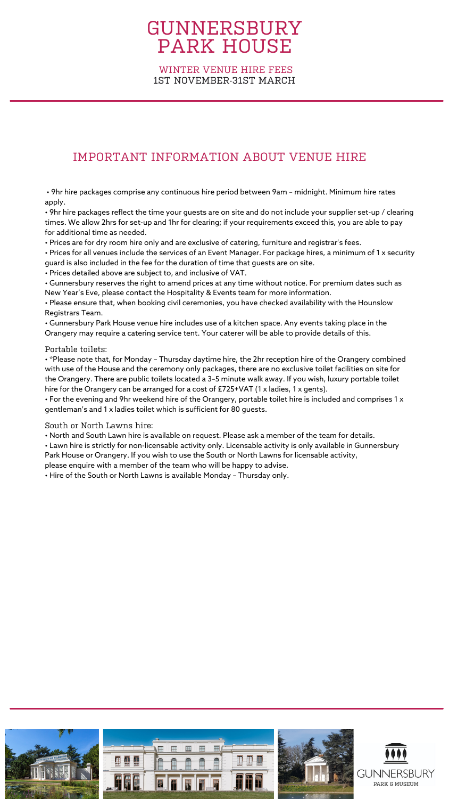## GUNNERSBURY PARK HOUSE

WINTER VENUE HIRE FEES 1ST NOVEMBER-31ST MARCH

• 9hr hire packages comprise any continuous hire period between 9am – midnight. Minimum hire rates apply.

• 9hr hire packages reflect the time your guests are on site and do not include your supplier set-up / clearing times. We allow 2hrs for set-up and 1hr for clearing; if your requirements exceed this, you are able to pay for additional time as needed.

• Prices are for dry room hire only and are exclusive of catering, furniture and registrar's fees.

• Prices for all venues include the services of an Event Manager. For package hires, a minimum of 1 x security guard is also included in the fee for the duration of time that guests are on site.

• Prices detailed above are subject to, and inclusive of VAT.

• Gunnersbury reserves the right to amend prices at any time without notice. For premium dates such as New Year's Eve, please contact the Hospitality & Events team for more information.

• Please ensure that, when booking civil ceremonies, you have checked availability with the Hounslow Registrars Team.

• Gunnersbury Park House venue hire includes use of a kitchen space. Any events taking place in the Orangery may require a catering service tent. Your caterer will be able to provide details of this.

### Portable toilets:

• \*Please note that, for Monday – Thursday daytime hire, the 2hr reception hire of the Orangery combined with use of the House and the ceremony only packages, there are no exclusive toilet facilities on site for the Orangery. There are public toilets located a 3–5 minute walk away. If you wish, luxury portable toilet hire for the Orangery can be arranged for a cost of £725+VAT (1 x ladies, 1 x gents).

• For the evening and 9hr weekend hire of the Orangery, portable toilet hire is included and comprises 1 x gentleman's and 1 x ladies toilet which is sufficient for 80 guests.

South or North Lawns hire:

• North and South Lawn hire is available on request. Please ask a member of the team for details.

• Lawn hire is strictly for non-licensable activity only. Licensable activity is only available in Gunnersbury Park House or Orangery. If you wish to use the South or North Lawns for licensable activity,

please enquire with a member of the team who will be happy to advise.

• Hire of the South or North Lawns is available Monday – Thursday only.



## IMPORTANT INFORMATION ABOUT VENUE HIRE